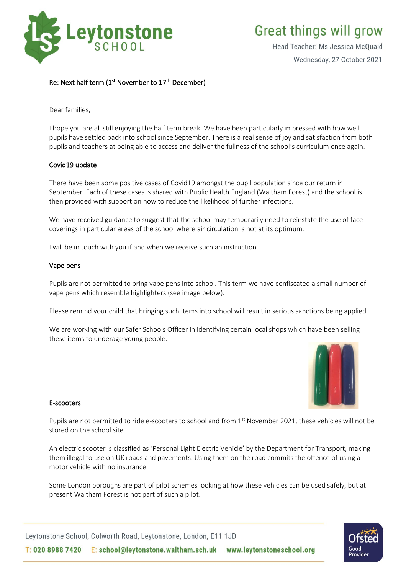

# **Great things will grow**

Head Teacher: Ms Jessica McQuaid

Wednesday, 27 October 2021

# Re: Next half term (1<sup>st</sup> November to 17<sup>th</sup> December)

Dear families,

I hope you are all still enjoying the half term break. We have been particularly impressed with how well pupils have settled back into school since September. There is a real sense of joy and satisfaction from both pupils and teachers at being able to access and deliver the fullness of the school's curriculum once again.

#### Covid19 update

There have been some positive cases of Covid19 amongst the pupil population since our return in September. Each of these cases is shared with Public Health England (Waltham Forest) and the school is then provided with support on how to reduce the likelihood of further infections.

We have received guidance to suggest that the school may temporarily need to reinstate the use of face coverings in particular areas of the school where air circulation is not at its optimum.

I will be in touch with you if and when we receive such an instruction.

#### Vape pens

Pupils are not permitted to bring vape pens into school. This term we have confiscated a small number of vape pens which resemble highlighters (see image below).

Please remind your child that bringing such items into school will result in serious sanctions being applied.

We are working with our Safer Schools Officer in identifying certain local shops which have been selling these items to underage young people.



#### E-scooters

Pupils are not permitted to ride e-scooters to school and from 1st November 2021, these vehicles will not be stored on the school site.

An electric scooter is classified as 'Personal Light Electric Vehicle' by the Department for Transport, making them illegal to use on UK roads and pavements. Using them on the road commits the offence of using a motor vehicle with no insurance.

Some London boroughs are part of pilot schemes looking at how these vehicles can be used safely, but at present Waltham Forest is not part of such a pilot.

Leytonstone School, Colworth Road, Leytonstone, London, E11 1JD T: 020 8988 7420 E: school@leytonstone.waltham.sch.uk www.leytonstoneschool.org